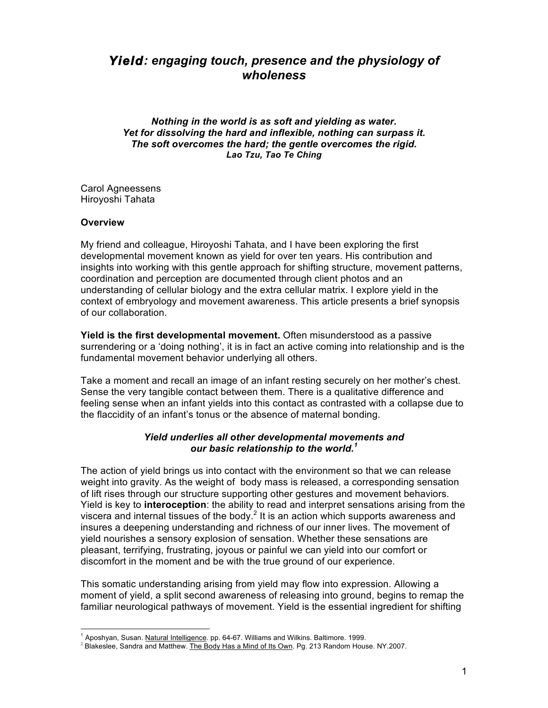# *Yield: engaging touch, presence and the physiology of wholeness*

*Nothing in the world is as soft and yielding as water. Yet for dissolving the hard and inflexible, nothing can surpass it. The soft overcomes the hard; the gentle overcomes the rigid. Lao Tzu, Tao Te Ching*

Carol Agneessens Hiroyoshi Tahata

#### **Overview**

My friend and colleague, Hiroyoshi Tahata, and I have been exploring the first developmental movement known as yield for over ten years. His contribution and insights into working with this gentle approach for shifting structure, movement patterns, coordination and perception are documented through client photos and an understanding of cellular biology and the extra cellular matrix. I explore yield in the context of embryology and movement awareness. This article presents a brief synopsis of our collaboration.

**Yield is the first developmental movement.** Often misunderstood as a passive surrendering or a 'doing nothing', it is in fact an active coming into relationship and is the fundamental movement behavior underlying all others.

Take a moment and recall an image of an infant resting securely on her mother's chest. Sense the very tangible contact between them. There is a qualitative difference and feeling sense when an infant yields into this contact as contrasted with a collapse due to the flaccidity of an infant's tonus or the absence of maternal bonding.

#### *Yield underlies all other developmental movements and our basic relationship to the world.<sup>1</sup>*

The action of yield brings us into contact with the environment so that we can release weight into gravity. As the weight of body mass is released, a corresponding sensation of lift rises through our structure supporting other gestures and movement behaviors. Yield is key to **interoception**: the ability to read and interpret sensations arising from the viscera and internal tissues of the body. $2$  It is an action which supports awareness and insures a deepening understanding and richness of our inner lives. The movement of yield nourishes a sensory explosion of sensation. Whether these sensations are pleasant, terrifying, frustrating, joyous or painful we can yield into our comfort or discomfort in the moment and be with the true ground of our experience.

This somatic understanding arising from yield may flow into expression. Allowing a moment of yield, a split second awareness of releasing into ground, begins to remap the familiar neurological pathways of movement. Yield is the essential ingredient for shifting

 $\frac{1}{1}$  $^1$  Aposhyan, Susan. Natural Intelligence. pp. 64-67. Williams and Wilkins. Baltimore. 1999.

<sup>&</sup>lt;sup>2</sup> Blakeslee, Sandra and Matthew. The Body Has a Mind of Its Own. Pg. 213 Random House. NY.2007.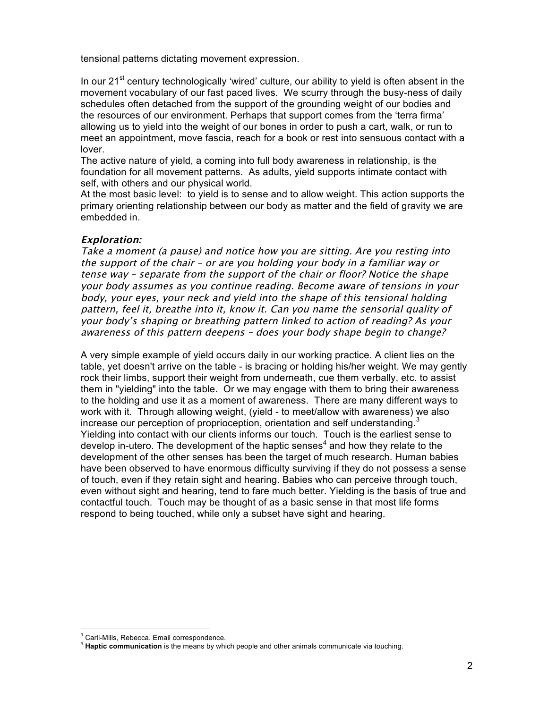tensional patterns dictating movement expression.

In our  $21<sup>st</sup>$  century technologically 'wired' culture, our ability to yield is often absent in the movement vocabulary of our fast paced lives. We scurry through the busy-ness of daily schedules often detached from the support of the grounding weight of our bodies and the resources of our environment. Perhaps that support comes from the 'terra firma' allowing us to yield into the weight of our bones in order to push a cart, walk, or run to meet an appointment, move fascia, reach for a book or rest into sensuous contact with a lover.

The active nature of yield, a coming into full body awareness in relationship, is the foundation for all movement patterns. As adults, yield supports intimate contact with self, with others and our physical world.

At the most basic level: to yield is to sense and to allow weight. This action supports the primary orienting relationship between our body as matter and the field of gravity we are embedded in.

# **Exploration:**

Take a moment (a pause) and notice how you are sitting. Are you resting into the support of the chair – or are you holding your body in a familiar way or tense way – separate from the support of the chair or floor? Notice the shape your body assumes as you continue reading. Become aware of tensions in your body, your eyes, your neck and yield into the shape of this tensional holding pattern, feel it, breathe into it, know it. Can you name the sensorial quality of your body's shaping or breathing pattern linked to action of reading? As your awareness of this pattern deepens – does your body shape begin to change?

A very simple example of yield occurs daily in our working practice. A client lies on the table, yet doesn't arrive on the table - is bracing or holding his/her weight. We may gently rock their limbs, support their weight from underneath, cue them verbally, etc. to assist them in "yielding" into the table. Or we may engage with them to bring their awareness to the holding and use it as a moment of awareness. There are many different ways to work with it. Through allowing weight, (yield - to meet/allow with awareness) we also increase our perception of proprioception, orientation and self understanding.<sup>3</sup> Yielding into contact with our clients informs our touch. Touch is the earliest sense to develop in-utero. The development of the haptic senses<sup>4</sup> and how they relate to the development of the other senses has been the target of much research. Human babies have been observed to have enormous difficulty surviving if they do not possess a sense of touch, even if they retain sight and hearing. Babies who can perceive through touch, even without sight and hearing, tend to fare much better. Yielding is the basis of true and contactful touch. Touch may be thought of as a basic sense in that most life forms respond to being touched, while only a subset have sight and hearing.

 $\frac{1}{3}$ 

<sup>&</sup>lt;sup>3</sup> Carli-Mills, Rebecca. Email correspondence.<br><sup>4</sup> **Haptic communication** is the means by which people and other animals communicate via touching.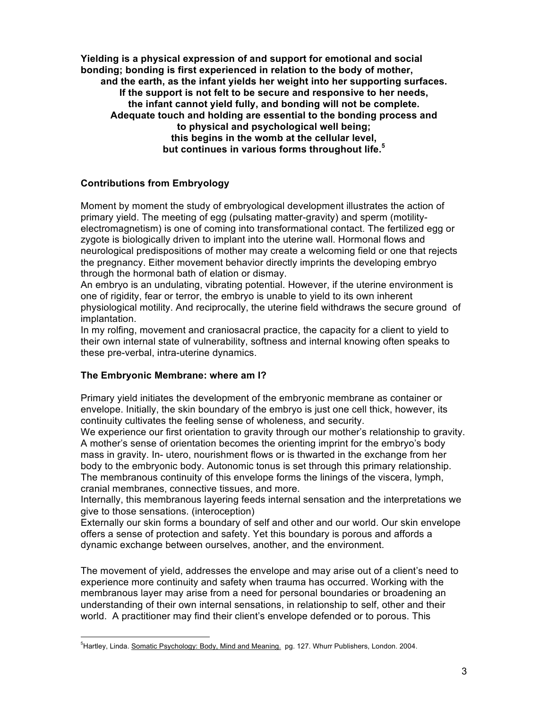**Yielding is a physical expression of and support for emotional and social bonding; bonding is first experienced in relation to the body of mother, and the earth, as the infant yields her weight into her supporting surfaces. If the support is not felt to be secure and responsive to her needs, the infant cannot yield fully, and bonding will not be complete. Adequate touch and holding are essential to the bonding process and to physical and psychological well being; this begins in the womb at the cellular level, but continues in various forms throughout life.<sup>5</sup>**

#### **Contributions from Embryology**

Moment by moment the study of embryological development illustrates the action of primary yield. The meeting of egg (pulsating matter-gravity) and sperm (motilityelectromagnetism) is one of coming into transformational contact. The fertilized egg or zygote is biologically driven to implant into the uterine wall. Hormonal flows and neurological predispositions of mother may create a welcoming field or one that rejects the pregnancy. Either movement behavior directly imprints the developing embryo through the hormonal bath of elation or dismay.

An embryo is an undulating, vibrating potential. However, if the uterine environment is one of rigidity, fear or terror, the embryo is unable to yield to its own inherent physiological motility. And reciprocally, the uterine field withdraws the secure ground of implantation.

In my rolfing, movement and craniosacral practice, the capacity for a client to yield to their own internal state of vulnerability, softness and internal knowing often speaks to these pre-verbal, intra-uterine dynamics.

# **The Embryonic Membrane: where am I?**

1

Primary yield initiates the development of the embryonic membrane as container or envelope. Initially, the skin boundary of the embryo is just one cell thick, however, its continuity cultivates the feeling sense of wholeness, and security.

We experience our first orientation to gravity through our mother's relationship to gravity. A mother's sense of orientation becomes the orienting imprint for the embryo's body mass in gravity. In- utero, nourishment flows or is thwarted in the exchange from her body to the embryonic body. Autonomic tonus is set through this primary relationship. The membranous continuity of this envelope forms the linings of the viscera, lymph, cranial membranes, connective tissues, and more.

Internally, this membranous layering feeds internal sensation and the interpretations we give to those sensations. (interoception)

Externally our skin forms a boundary of self and other and our world. Our skin envelope offers a sense of protection and safety. Yet this boundary is porous and affords a dynamic exchange between ourselves, another, and the environment.

The movement of yield, addresses the envelope and may arise out of a client's need to experience more continuity and safety when trauma has occurred. Working with the membranous layer may arise from a need for personal boundaries or broadening an understanding of their own internal sensations, in relationship to self, other and their world. A practitioner may find their client's envelope defended or to porous. This

<sup>&</sup>lt;sup>5</sup>Hartley, Linda. Somatic Psychology: Body, Mind and Meaning. pg. 127. Whurr Publishers, London. 2004.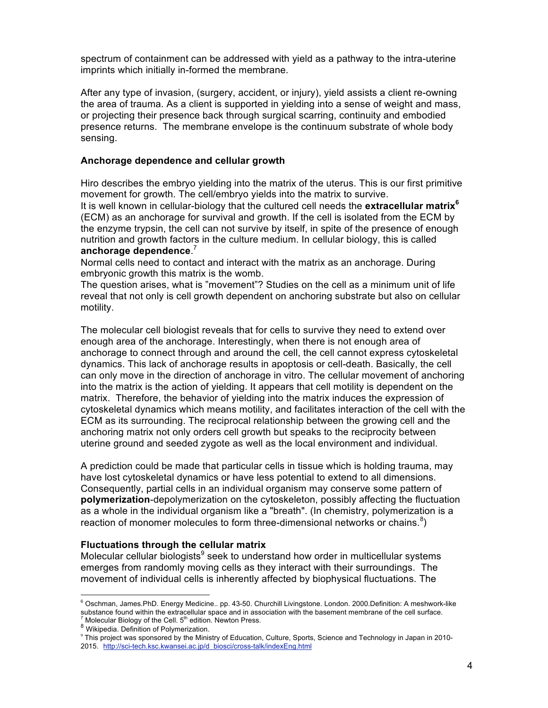spectrum of containment can be addressed with yield as a pathway to the intra-uterine imprints which initially in-formed the membrane.

After any type of invasion, (surgery, accident, or injury), yield assists a client re-owning the area of trauma. As a client is supported in yielding into a sense of weight and mass, or projecting their presence back through surgical scarring, continuity and embodied presence returns. The membrane envelope is the continuum substrate of whole body sensing.

#### **Anchorage dependence and cellular growth**

Hiro describes the embryo yielding into the matrix of the uterus. This is our first primitive movement for growth. The cell/embryo yields into the matrix to survive.

It is well known in cellular-biology that the cultured cell needs the **extracellular matrix<sup>6</sup>** (ECM) as an anchorage for survival and growth. If the cell is isolated from the ECM by the enzyme trypsin, the cell can not survive by itself, in spite of the presence of enough nutrition and growth factors in the culture medium. In cellular biology, this is called **anchorage dependence**. 7

Normal cells need to contact and interact with the matrix as an anchorage. During embryonic growth this matrix is the womb.

The question arises, what is "movement"? Studies on the cell as a minimum unit of life reveal that not only is cell growth dependent on anchoring substrate but also on cellular motility.

The molecular cell biologist reveals that for cells to survive they need to extend over enough area of the anchorage. Interestingly, when there is not enough area of anchorage to connect through and around the cell, the cell cannot express cytoskeletal dynamics. This lack of anchorage results in apoptosis or cell-death. Basically, the cell can only move in the direction of anchorage in vitro. The cellular movement of anchoring into the matrix is the action of yielding. It appears that cell motility is dependent on the matrix. Therefore, the behavior of yielding into the matrix induces the expression of cytoskeletal dynamics which means motility, and facilitates interaction of the cell with the ECM as its surrounding. The reciprocal relationship between the growing cell and the anchoring matrix not only orders cell growth but speaks to the reciprocity between uterine ground and seeded zygote as well as the local environment and individual.

A prediction could be made that particular cells in tissue which is holding trauma, may have lost cytoskeletal dynamics or have less potential to extend to all dimensions. Consequently, partial cells in an individual organism may conserve some pattern of **polymerization**-depolymerization on the cytoskeleton, possibly affecting the fluctuation as a whole in the individual organism like a "breath". (In chemistry, polymerization is a reaction of monomer molecules to form three-dimensional networks or chains. $8$ )

#### **Fluctuations through the cellular matrix**

Molecular cellular biologists $9$  seek to understand how order in multicellular systems emerges from randomly moving cells as they interact with their surroundings. The movement of individual cells is inherently affected by biophysical fluctuations. The

<sup>-&</sup>lt;br>6  $6$  Oschman, James.PhD. Energy Medicine.. pp. 43-50. Churchill Livingstone. London. 2000.Definition: A meshwork-like substance found within the extracellular space and in association with the basement membrane of the cell surface.<br><sup>7</sup> Molecular Biology of the Cell. 5<sup>th</sup> edition. Newton Press.<br><sup>8</sup> Wikipedia. Definition of Polymerization.

 $8$  Wikipedia. Definition of Polymerization.<br>9 This project was sponsored by the Ministry of Education, Culture, Sports, Science and Technology in Japan in 2010-2015. http://sci-tech.ksc.kwansei.ac.jp/d\_biosci/cross-talk/indexEng.html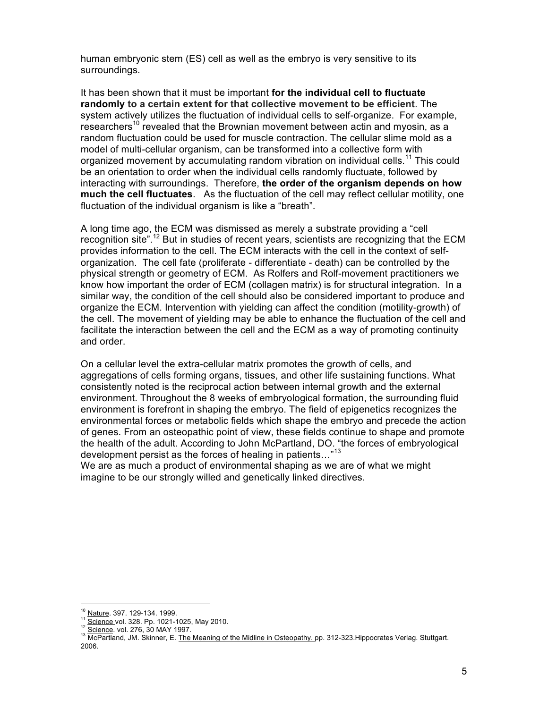human embryonic stem (ES) cell as well as the embryo is very sensitive to its surroundings.

It has been shown that it must be important **for the individual cell to fluctuate randomly to a certain extent for that collective movement to be efficient**. The system actively utilizes the fluctuation of individual cells to self-organize. For example, researchers<sup>10</sup> revealed that the Brownian movement between actin and myosin, as a random fluctuation could be used for muscle contraction. The cellular slime mold as a model of multi-cellular organism, can be transformed into a collective form with organized movement by accumulating random vibration on individual cells.<sup>11</sup> This could be an orientation to order when the individual cells randomly fluctuate, followed by interacting with surroundings. Therefore, **the order of the organism depends on how much the cell fluctuates**. As the fluctuation of the cell may reflect cellular motility, one fluctuation of the individual organism is like a "breath".

A long time ago, the ECM was dismissed as merely a substrate providing a "cell recognition site".<sup>12</sup> But in studies of recent years, scientists are recognizing that the ECM provides information to the cell. The ECM interacts with the cell in the context of selforganization. The cell fate (proliferate - differentiate - death) can be controlled by the physical strength or geometry of ECM. As Rolfers and Rolf-movement practitioners we know how important the order of ECM (collagen matrix) is for structural integration. In a similar way, the condition of the cell should also be considered important to produce and organize the ECM. Intervention with yielding can affect the condition (motility-growth) of the cell. The movement of yielding may be able to enhance the fluctuation of the cell and facilitate the interaction between the cell and the ECM as a way of promoting continuity and order.

On a cellular level the extra-cellular matrix promotes the growth of cells, and aggregations of cells forming organs, tissues, and other life sustaining functions. What consistently noted is the reciprocal action between internal growth and the external environment. Throughout the 8 weeks of embryological formation, the surrounding fluid environment is forefront in shaping the embryo. The field of epigenetics recognizes the environmental forces or metabolic fields which shape the embryo and precede the action of genes. From an osteopathic point of view, these fields continue to shape and promote the health of the adult. According to John McPartland, DO. "the forces of embryological development persist as the forces of healing in patients..."<sup>13</sup>

We are as much a product of environmental shaping as we are of what we might imagine to be our strongly willed and genetically linked directives.

<sup>&</sup>lt;sup>10</sup> Nature. 397. 129-134. 1999.<br><sup>11</sup> Science vol. 328. Pp. 1021-1025, May 2010.<br><sup>12</sup> Science. vol. 276, 30 MAY 1997.<br><sup>13</sup> McPartland, JM. Skinner, E. <u>The Meaning of the Midline in Osteopathy.</u> pp. 312-323.Hippocrates Ver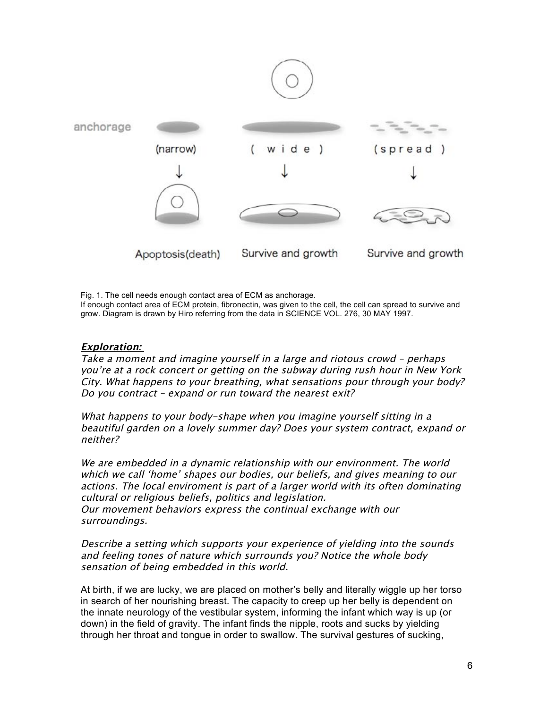

Fig. 1. The cell needs enough contact area of ECM as anchorage. If enough contact area of ECM protein, fibronectin, was given to the cell, the cell can spread to survive and grow. Diagram is drawn by Hiro referring from the data in SCIENCE VOL. 276, 30 MAY 1997.

# **Exploration:**

Take a moment and imagine yourself in a large and riotous crowd – perhaps you're at a rock concert or getting on the subway during rush hour in New York City. What happens to your breathing, what sensations pour through your body? Do you contract – expand or run toward the nearest exit?

What happens to your body-shape when you imagine yourself sitting in a beautiful garden on a lovely summer day? Does your system contract, expand or neither?

We are embedded in a dynamic relationship with our environment. The world which we call 'home' shapes our bodies, our beliefs, and gives meaning to our actions. The local enviroment is part of a larger world with its often dominating cultural or religious beliefs, politics and legislation. Our movement behaviors express the continual exchange with our surroundings.

Describe a setting which supports your experience of yielding into the sounds and feeling tones of nature which surrounds you? Notice the whole body sensation of being embedded in this world.

At birth, if we are lucky, we are placed on mother's belly and literally wiggle up her torso in search of her nourishing breast. The capacity to creep up her belly is dependent on the innate neurology of the vestibular system, informing the infant which way is up (or down) in the field of gravity. The infant finds the nipple, roots and sucks by yielding through her throat and tongue in order to swallow. The survival gestures of sucking,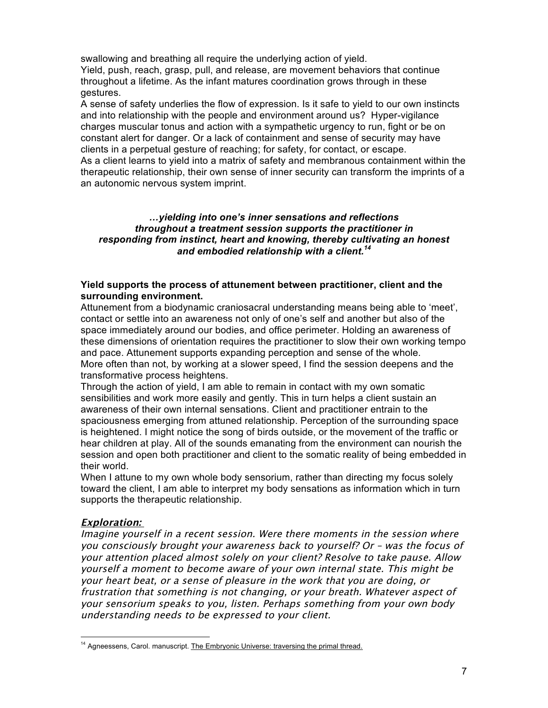swallowing and breathing all require the underlying action of yield. Yield, push, reach, grasp, pull, and release, are movement behaviors that continue throughout a lifetime. As the infant matures coordination grows through in these gestures.

A sense of safety underlies the flow of expression. Is it safe to yield to our own instincts and into relationship with the people and environment around us? Hyper-vigilance charges muscular tonus and action with a sympathetic urgency to run, fight or be on constant alert for danger. Or a lack of containment and sense of security may have clients in a perpetual gesture of reaching; for safety, for contact, or escape. As a client learns to yield into a matrix of safety and membranous containment within the therapeutic relationship, their own sense of inner security can transform the imprints of a an autonomic nervous system imprint.

#### *…yielding into one's inner sensations and reflections throughout a treatment session supports the practitioner in responding from instinct, heart and knowing, thereby cultivating an honest and embodied relationship with a client.<sup>14</sup>*

#### **Yield supports the process of attunement between practitioner, client and the surrounding environment.**

Attunement from a biodynamic craniosacral understanding means being able to 'meet', contact or settle into an awareness not only of one's self and another but also of the space immediately around our bodies, and office perimeter. Holding an awareness of these dimensions of orientation requires the practitioner to slow their own working tempo and pace. Attunement supports expanding perception and sense of the whole. More often than not, by working at a slower speed, I find the session deepens and the transformative process heightens.

Through the action of yield, I am able to remain in contact with my own somatic sensibilities and work more easily and gently. This in turn helps a client sustain an awareness of their own internal sensations. Client and practitioner entrain to the spaciousness emerging from attuned relationship. Perception of the surrounding space is heightened. I might notice the song of birds outside, or the movement of the traffic or hear children at play. All of the sounds emanating from the environment can nourish the session and open both practitioner and client to the somatic reality of being embedded in their world.

When I attune to my own whole body sensorium, rather than directing my focus solely toward the client, I am able to interpret my body sensations as information which in turn supports the therapeutic relationship.

# **Exploration:**

1

Imagine yourself in a recent session. Were there moments in the session where you consciously brought your awareness back to yourself? Or – was the focus of your attention placed almost solely on your client? Resolve to take pause. Allow yourself a moment to become aware of your own internal state. This might be your heart beat, or a sense of pleasure in the work that you are doing, or frustration that something is not changing, or your breath. Whatever aspect of your sensorium speaks to you, listen. Perhaps something from your own body understanding needs to be expressed to your client.

<sup>&</sup>lt;sup>14</sup> Agneessens, Carol. manuscript. The Embryonic Universe: traversing the primal thread.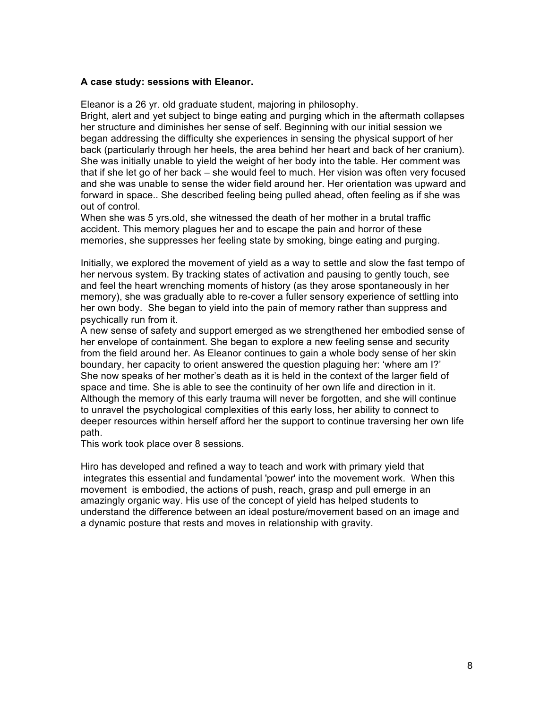#### **A case study: sessions with Eleanor.**

Eleanor is a 26 yr. old graduate student, majoring in philosophy.

Bright, alert and yet subject to binge eating and purging which in the aftermath collapses her structure and diminishes her sense of self. Beginning with our initial session we began addressing the difficulty she experiences in sensing the physical support of her back (particularly through her heels, the area behind her heart and back of her cranium). She was initially unable to yield the weight of her body into the table. Her comment was that if she let go of her back – she would feel to much. Her vision was often very focused and she was unable to sense the wider field around her. Her orientation was upward and forward in space.. She described feeling being pulled ahead, often feeling as if she was out of control.

When she was 5 yrs.old, she witnessed the death of her mother in a brutal traffic accident. This memory plagues her and to escape the pain and horror of these memories, she suppresses her feeling state by smoking, binge eating and purging.

Initially, we explored the movement of yield as a way to settle and slow the fast tempo of her nervous system. By tracking states of activation and pausing to gently touch, see and feel the heart wrenching moments of history (as they arose spontaneously in her memory), she was gradually able to re-cover a fuller sensory experience of settling into her own body. She began to yield into the pain of memory rather than suppress and psychically run from it.

A new sense of safety and support emerged as we strengthened her embodied sense of her envelope of containment. She began to explore a new feeling sense and security from the field around her. As Eleanor continues to gain a whole body sense of her skin boundary, her capacity to orient answered the question plaguing her: 'where am I?' She now speaks of her mother's death as it is held in the context of the larger field of space and time. She is able to see the continuity of her own life and direction in it. Although the memory of this early trauma will never be forgotten, and she will continue to unravel the psychological complexities of this early loss, her ability to connect to deeper resources within herself afford her the support to continue traversing her own life path.

This work took place over 8 sessions.

Hiro has developed and refined a way to teach and work with primary yield that integrates this essential and fundamental 'power' into the movement work. When this movement is embodied, the actions of push, reach, grasp and pull emerge in an amazingly organic way. His use of the concept of yield has helped students to understand the difference between an ideal posture/movement based on an image and a dynamic posture that rests and moves in relationship with gravity.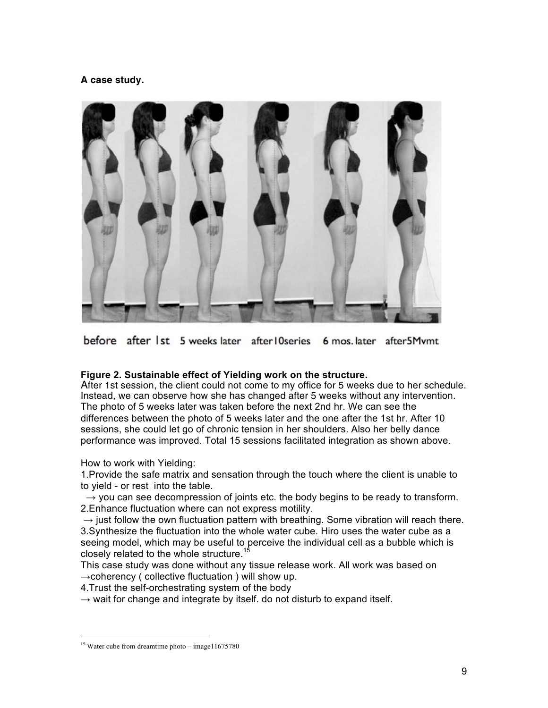# **A case study.**



before after 1st 5 weeks later after 10series 6 mos. later after 5Mvmt

# **Figure 2. Sustainable effect of Yielding work on the structure.**

After 1st session, the client could not come to my office for 5 weeks due to her schedule. Instead, we can observe how she has changed after 5 weeks without any intervention. The photo of 5 weeks later was taken before the next 2nd hr. We can see the differences between the photo of 5 weeks later and the one after the 1st hr. After 10 sessions, she could let go of chronic tension in her shoulders. Also her belly dance performance was improved. Total 15 sessions facilitated integration as shown above.

How to work with Yielding:

1.Provide the safe matrix and sensation through the touch where the client is unable to to yield - or rest into the table.

 $\rightarrow$  you can see decompression of joints etc. the body begins to be ready to transform. 2.Enhance fluctuation where can not express motility.

 $\rightarrow$  just follow the own fluctuation pattern with breathing. Some vibration will reach there. 3.Synthesize the fluctuation into the whole water cube. Hiro uses the water cube as a seeing model, which may be useful to perceive the individual cell as a bubble which is closely related to the whole structure.<sup>15</sup>

This case study was done without any tissue release work. All work was based on  $\rightarrow$ coherency ( collective fluctuation ) will show up.

4.Trust the self-orchestrating system of the body

 $\rightarrow$  wait for change and integrate by itself. do not disturb to expand itself.

<sup>&</sup>lt;sup>15</sup> Water cube from dreamtime photo – image11675780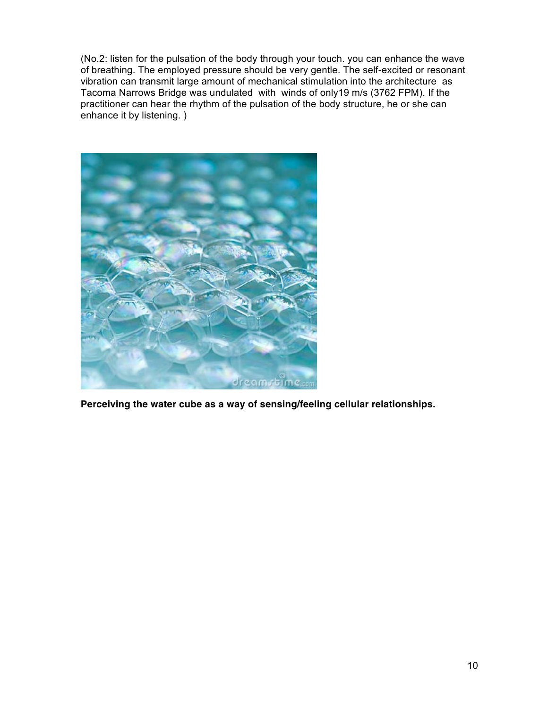(No.2: listen for the pulsation of the body through your touch. you can enhance the wave of breathing. The employed pressure should be very gentle. The self-excited or resonant vibration can transmit large amount of mechanical stimulation into the architecture as Tacoma Narrows Bridge was undulated with winds of only19 m/s (3762 FPM). If the practitioner can hear the rhythm of the pulsation of the body structure, he or she can enhance it by listening. )



**Perceiving the water cube as a way of sensing/feeling cellular relationships.**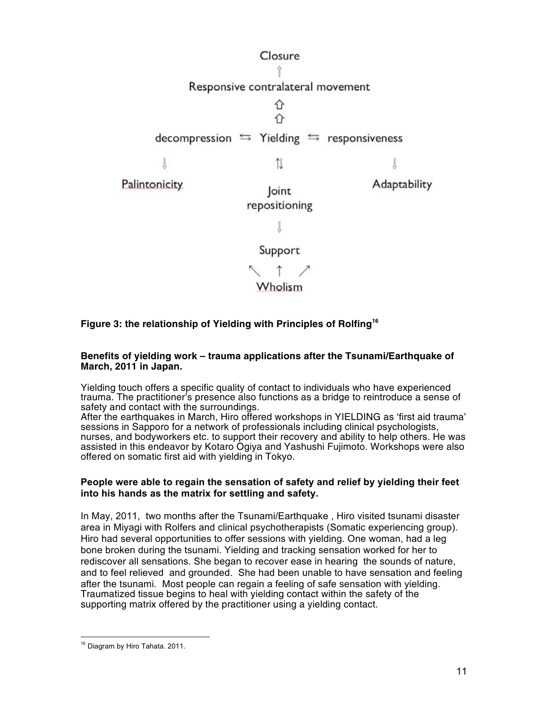

# **Figure 3: the relationship of Yielding with Principles of Rolfing<sup>16</sup>**

#### **Benefits of yielding work – trauma applications after the Tsunami/Earthquake of March, 2011 in Japan.**

Yielding touch offers a specific quality of contact to individuals who have experienced trauma. The practitioner's presence also functions as a bridge to reintroduce a sense of safety and contact with the surroundings.

After the earthquakes in March, Hiro offered workshops in YIELDING as 'first aid trauma' sessions in Sapporo for a network of professionals including clinical psychologists, nurses, and bodyworkers etc. to support their recovery and ability to help others. He was assisted in this endeavor by Kotaro Ogiya and Yashushi Fujimoto. Workshops were also offered on somatic first aid with yielding in Tokyo.

#### **People were able to regain the sensation of safety and relief by yielding their feet into his hands as the matrix for settling and safety.**

In May, 2011, two months after the Tsunami/Earthquake , Hiro visited tsunami disaster area in Miyagi with Rolfers and clinical psychotherapists (Somatic experiencing group). Hiro had several opportunities to offer sessions with yielding. One woman, had a leg bone broken during the tsunami. Yielding and tracking sensation worked for her to rediscover all sensations. She began to recover ease in hearing the sounds of nature, and to feel relieved and grounded. She had been unable to have sensation and feeling after the tsunami. Most people can regain a feeling of safe sensation with yielding. Traumatized tissue begins to heal with yielding contact within the safety of the supporting matrix offered by the practitioner using a yielding contact.

1

<sup>&</sup>lt;sup>16</sup> Diagram by Hiro Tahata. 2011.